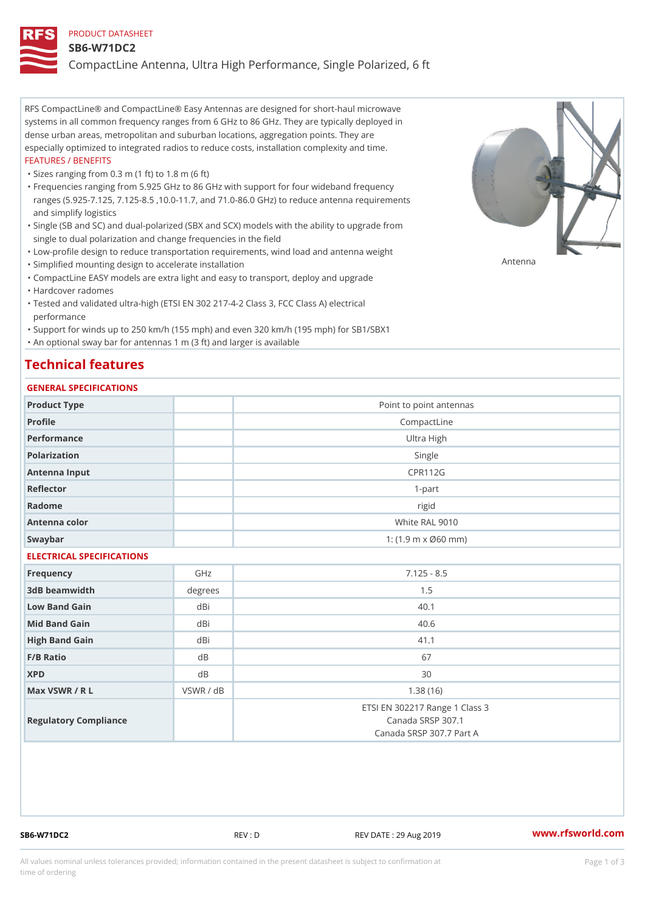#### PRODUCT DATASHEET

#### SB6-W71DC2

CompactLine Antenna, Ultra High Performance, Single Polarized, 6 ft

RFS CompactLine® and CompactLine® Easy Antennas are designed for short-haul microwave systems in all common frequency ranges from 6 GHz to 86 GHz. They are typically deployed in dense urban areas, metropolitan and suburban locations, aggregation points. They are especially optimized to integrated radios to reduce costs, installation complexity and time. FEATURES / BENEFITS

"Sizes ranging from 0.3 m (1 ft) to 1.8 m (6 ft)

Frequencies ranging from 5.925 GHz to 86 GHz with support for four wideband frequency " ranges (5.925-7.125, 7.125-8.5 ,10.0-11.7, and 71.0-86.0 GHz) to reduce antenna requirements and simplify logistics

Single (SB and SC) and dual-polarized (SBX and SCX) models with the ability to upgrade from " single to dual polarization and change frequencies in the field

"Low-profile design to reduce transportation requirements, wind load and antenna weight

"Simplified mounting design to accelerate installation

 "CompactLine EASY models are extra light and easy to transport, deploy and upgrade "Hardcover radomes

Tested and validated ultra-high (ETSI EN 302 217-4-2 Class 3, FCC Class A) electrical " performance

 "Support for winds up to 250 km/h (155 mph) and even 320 km/h (195 mph) for SB1/SBX1 "An optional sway bar for antennas 1 m (3 ft) and larger is available

### Technical features

### GENERAL SPECIFICATIONS

| OLIVERAL OF LOTITOATIONS  |                |                                                                                 |  |  |
|---------------------------|----------------|---------------------------------------------------------------------------------|--|--|
| Product Type              |                | Point to point antennas                                                         |  |  |
| Profile                   | CompactLine    |                                                                                 |  |  |
| Performance               | Ultra High     |                                                                                 |  |  |
| Polarization              |                | Single                                                                          |  |  |
| Antenna Input             | <b>CPR112G</b> |                                                                                 |  |  |
| Reflector                 | $1 - p$ art    |                                                                                 |  |  |
| Radome                    |                | rigid                                                                           |  |  |
| Antenna color             |                | White RAL 9010                                                                  |  |  |
| Swaybar                   |                | 1: $(1.9 \, m \times \emptyset 60 \, mm)$                                       |  |  |
| ELECTRICAL SPECIFICATIONS |                |                                                                                 |  |  |
| Frequency                 | GHz            | $7.125 - 8.5$                                                                   |  |  |
| 3dB beamwidth             | degree:        | 1.5                                                                             |  |  |
| Low Band Gain             | dBi            | 40.1                                                                            |  |  |
| Mid Band Gain             | dBi            | 40.6                                                                            |  |  |
| High Band Gain            | dBi            | 41.1                                                                            |  |  |
| F/B Ratio                 | d B            | 67                                                                              |  |  |
| <b>XPD</b>                | $d$ B          | 30                                                                              |  |  |
| Max VSWR / R L            | VSWR / dB      | 1.38(16)                                                                        |  |  |
| Regulatory Compliance     |                | ETSI EN 302217 Range 1 Class 3<br>Canada SRSP 307.1<br>Canada SRSP 307.7 Part A |  |  |

SB6-W71DC2 REV : D REV DATE : 29 Aug 2019 WWW.rfsworld.com

Antenna

All values nominal unless tolerances provided; information contained in the present datasheet is subject to Pcapgeign mation time of ordering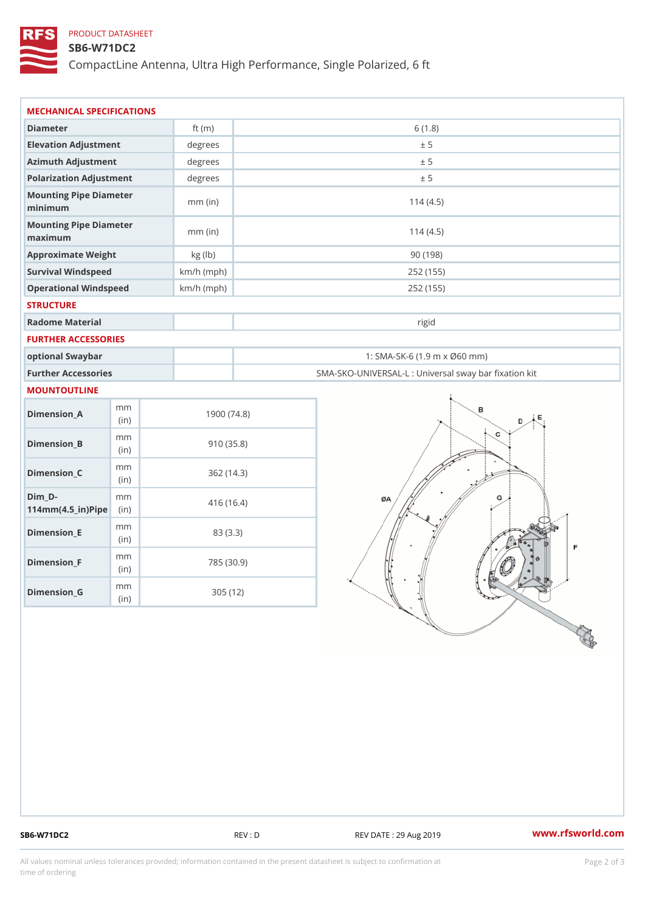### PRODUCT DATASHEET

### SB6-W71DC2

CompactLine Antenna, Ultra High Performance, Single Polarized, 6 ft

| MECHANICAL SPECIFICATIONS                                      |              |                                                   |
|----------------------------------------------------------------|--------------|---------------------------------------------------|
| Diameter                                                       | ft $(m)$     | 6(1.8)                                            |
| Elevation Adjustment                                           | degrees      | ± 5                                               |
| Azimuth Adjustment                                             | degrees      | ± 5                                               |
| Polarization Adjustment                                        | degrees      | ± 5                                               |
| Mounting Pipe Diameter<br>minimum                              | $mm$ (in)    | 114(4.5)                                          |
| Mounting Pipe Diameter<br>maximum                              | $mm$ (in)    | 114(4.5)                                          |
| Approximate Weight                                             | kg (lb)      | 90(198)                                           |
| Survival Windspeed                                             | $km/h$ (mph) | 252 (155)                                         |
| Operational Windspeed                                          | $km/h$ (mph) | 252 (155)                                         |
| <b>STRUCTURE</b>                                               |              |                                                   |
| Radome Material                                                |              | rigid                                             |
| FURTHER ACCESSORIES                                            |              |                                                   |
| optional Swaybar                                               |              | 1: SMA-SK-6 (1.9 m x Ø60 mm)                      |
| Further Accessories                                            |              | SMA-SKO-UNIVERSAL-L : Universal sway bar fixation |
| MOUNTOUTLINE                                                   |              |                                                   |
| m m<br>$Dimension_A$<br>(in)                                   |              | 1900(74.8)                                        |
| m m<br>$Dimension_B$<br>(in)                                   |              | 910(35.8)                                         |
| m m<br>$Dimension_C$<br>(in)                                   |              | 362(14.3)                                         |
| $Dim_D - D -$<br>m m<br>$114$ m m $(4.5$ _ ir $)$ $R$ ii p $e$ |              | 416 (16.4)                                        |
| m m<br>$Dimension$ = E<br>(in)                                 |              | 83 (3.3)                                          |
| m m<br>$Dimension_F$<br>(in)                                   |              | 785 (30.9)                                        |
| m m<br>$D$ imension $_G$                                       |              | 305 (12)                                          |

SB6-W71DC2 REV : D REV DATE : 29 Aug 2019 WWW.rfsworld.com